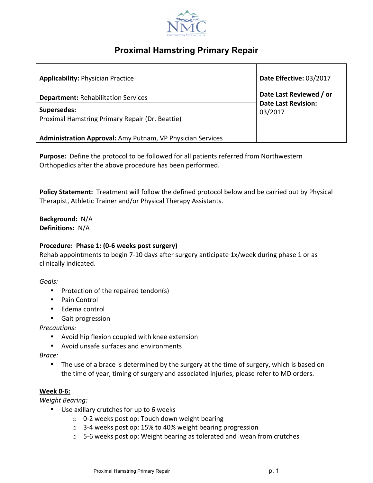

# **Proximal Hamstring Primary Repair**

| <b>Applicability: Physician Practice</b>                       | Date Effective: 03/2017                               |
|----------------------------------------------------------------|-------------------------------------------------------|
| <b>Department: Rehabilitation Services</b>                     | Date Last Reviewed / or<br><b>Date Last Revision:</b> |
| Supersedes:<br>Proximal Hamstring Primary Repair (Dr. Beattie) | 03/2017                                               |
| Administration Approval: Amy Putnam, VP Physician Services     |                                                       |

**Purpose:** Define the protocol to be followed for all patients referred from Northwestern Orthopedics after the above procedure has been performed.

**Policy Statement:** Treatment will follow the defined protocol below and be carried out by Physical Therapist, Athletic Trainer and/or Physical Therapy Assistants.

**Background:** N/A **Definitions:** N/A

### Procedure: Phase 1: (0-6 weeks post surgery)

Rehab appointments to begin 7-10 days after surgery anticipate 1x/week during phase 1 or as clinically indicated.

#### *Goals:*

- Protection of the repaired tendon(s)
- Pain Control
- Edema control
- Gait progression

*Precautions:* 

- Avoid hip flexion coupled with knee extension
- Avoid unsafe surfaces and environments

*Brace:* 

• The use of a brace is determined by the surgery at the time of surgery, which is based on the time of year, timing of surgery and associated injuries, please refer to MD orders.

### **Week 0-6:**

*Weight Bearing:*

- Use axillary crutches for up to 6 weeks
	- $\circ$  0-2 weeks post op: Touch down weight bearing
	- $\circ$  3-4 weeks post op: 15% to 40% weight bearing progression
	- $\circ$  5-6 weeks post op: Weight bearing as tolerated and wean from crutches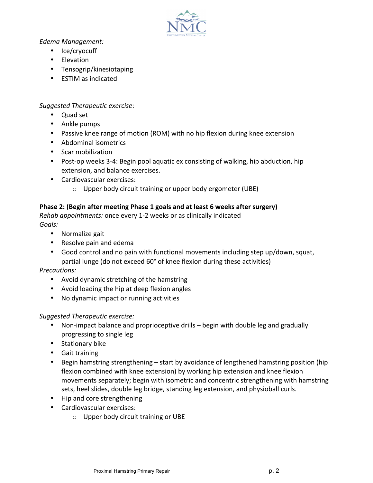

*Edema Management:*

- Ice/cryocuff
- Elevation
- Tensogrip/kinesiotaping
- **ESTIM** as indicated

*Suggested Therapeutic exercise*:

- Ouad set
- Ankle pumps
- Passive knee range of motion (ROM) with no hip flexion during knee extension
- Abdominal isometrics
- Scar mobilization
- Post-op weeks 3-4: Begin pool aquatic ex consisting of walking, hip abduction, hip extension, and balance exercises.
- Cardiovascular exercises:
	- $\circ$  Upper body circuit training or upper body ergometer (UBE)

### **Phase 2: (Begin after meeting Phase 1 goals and at least 6 weeks after surgery)**

*Rehab appointments:* once every 1-2 weeks or as clinically indicated *Goals:* 

- Normalize gait
- Resolve pain and edema
- Good control and no pain with functional movements including step up/down, squat, partial lunge (do not exceed 60° of knee flexion during these activities)

*Precautions:*

- Avoid dynamic stretching of the hamstring
- Avoid loading the hip at deep flexion angles
- No dynamic impact or running activities

### *Suggested Therapeutic exercise:*

- Non-impact balance and proprioceptive drills begin with double leg and gradually progressing to single leg
- Stationary bike
- Gait training
- Begin hamstring strengthening start by avoidance of lengthened hamstring position (hip flexion combined with knee extension) by working hip extension and knee flexion movements separately; begin with isometric and concentric strengthening with hamstring sets, heel slides, double leg bridge, standing leg extension, and physioball curls.
- Hip and core strengthening
- Cardiovascular exercises:
	- $\circ$  Upper body circuit training or UBE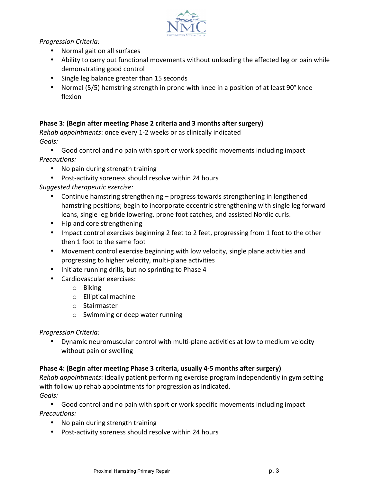

*Progression Criteria:*

- Normal gait on all surfaces
- Ability to carry out functional movements without unloading the affected leg or pain while demonstrating good control
- Single leg balance greater than 15 seconds
- Normal (5/5) hamstring strength in prone with knee in a position of at least 90° knee flexion

## **Phase 3: (Begin after meeting Phase 2 criteria and 3 months after surgery)**

*Rehab appointments:* once every 1-2 weeks or as clinically indicated *Goals:*

- Good control and no pain with sport or work specific movements including impact *Precautions:*
	- No pain during strength training
	- Post-activity soreness should resolve within 24 hours

*Suggested therapeutic exercise:*

- Continue hamstring strengthening progress towards strengthening in lengthened hamstring positions; begin to incorporate eccentric strengthening with single leg forward leans, single leg bride lowering, prone foot catches, and assisted Nordic curls.
- Hip and core strengthening
- Impact control exercises beginning 2 feet to 2 feet, progressing from 1 foot to the other then 1 foot to the same foot
- Movement control exercise beginning with low velocity, single plane activities and progressing to higher velocity, multi-plane activities
- Initiate running drills, but no sprinting to Phase 4
- Cardiovascular exercises:
	- o Biking
	- $\circ$  Elliptical machine
	- o Stairmaster
	- $\circ$  Swimming or deep water running

### *Progression Criteria:*

• Dynamic neuromuscular control with multi-plane activities at low to medium velocity without pain or swelling

# **Phase 4: (Begin after meeting Phase 3 criteria, usually 4-5 months after surgery)**

*Rehab appointments*: ideally patient performing exercise program independently in gym setting with follow up rehab appointments for progression as indicated. *Goals:*

• Good control and no pain with sport or work specific movements including impact *Precautions:*

- No pain during strength training
- Post-activity soreness should resolve within 24 hours